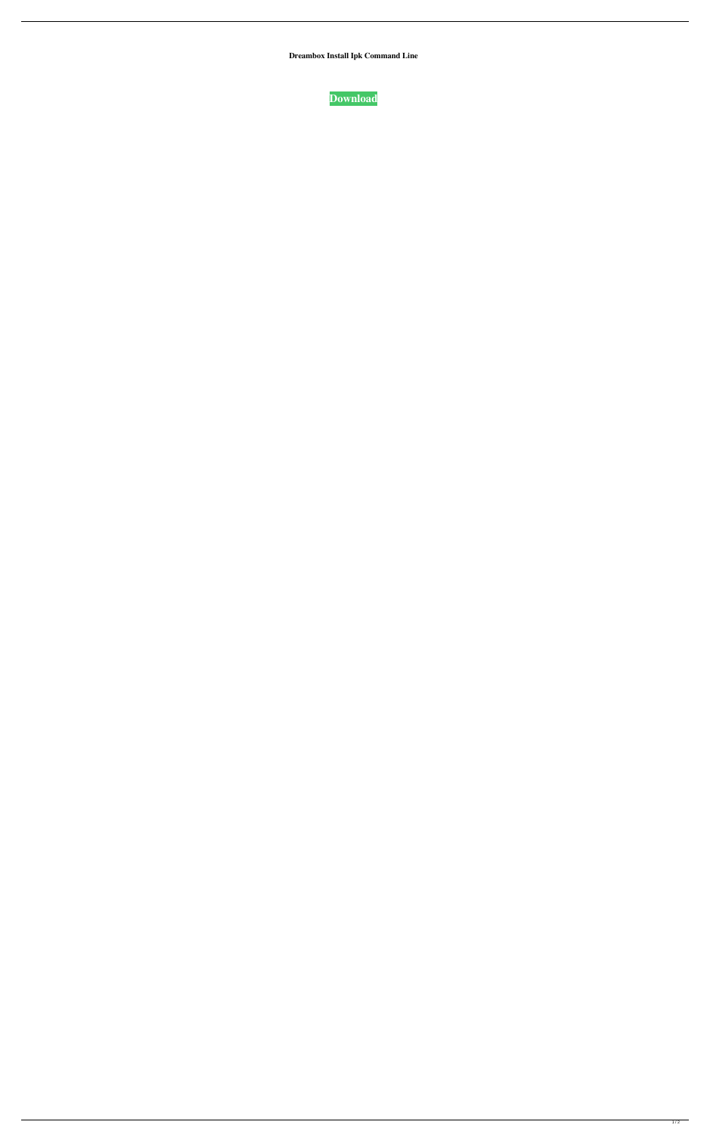**Dreambox Install Ipk Command Line**